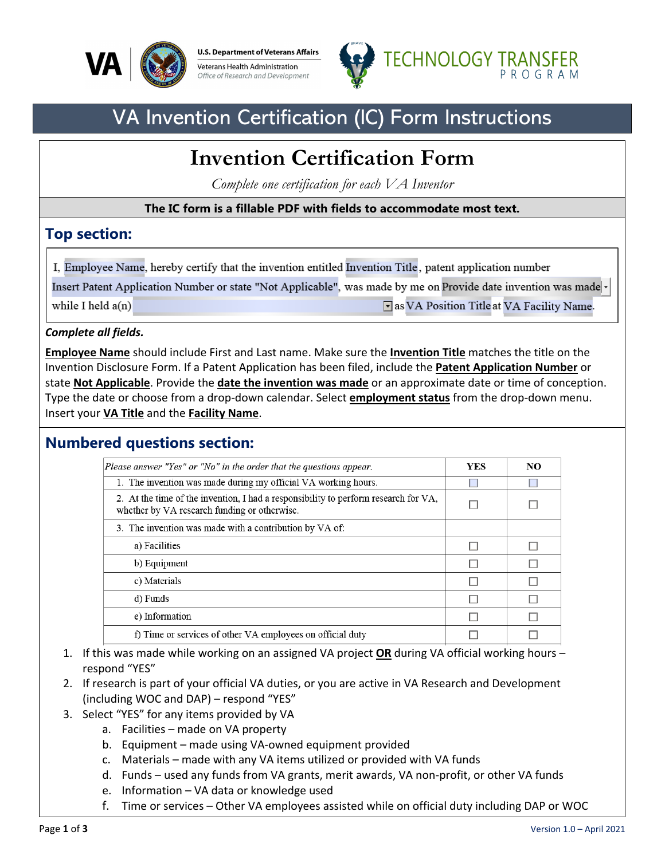

**U.S. Department of Veterans Affairs** Veterans Health Administration Office of Research and Development



## VA Invention Certification (IC) Form Instructions

# **Invention Certification Form**

*Complete one certification for each VA Inventor*

#### **The IC form is a fillable PDF with fields to accommodate most text.**

#### **Top section:**

I, Employee Name, hereby certify that the invention entitled Invention Title, patent application number

Insert Patent Application Number or state "Not Applicable", was made by me on Provide date invention was made

while I held  $a(n)$ 

as VA Position Title at VA Facility Name.

#### *Complete all fields.*

**Employee Name** should include First and Last name. Make sure the **Invention Title** matches the title on the Invention Disclosure Form. If a Patent Application has been filed, include the **Patent Application Number** or state **Not Applicable**. Provide the **date the invention was made** or an approximate date or time of conception. Type the date or choose from a drop-down calendar. Select **employment status** from the drop-down menu. Insert your **VA Title** and the **Facility Name**.

#### **Numbered questions section:**

| Please answer "Yes" or "No" in the order that the questions appear.                                                                 | <b>YES</b> | NO |
|-------------------------------------------------------------------------------------------------------------------------------------|------------|----|
| 1. The invention was made during my official VA working hours.                                                                      |            |    |
| 2. At the time of the invention, I had a responsibility to perform research for VA,<br>whether by VA research funding or otherwise. |            |    |
| 3. The invention was made with a contribution by VA of:                                                                             |            |    |
| a) Facilities                                                                                                                       |            |    |
| b) Equipment                                                                                                                        |            |    |
| c) Materials                                                                                                                        |            |    |
| d) Funds                                                                                                                            |            |    |
| e) Information                                                                                                                      |            |    |
| f) Time or services of other VA employees on official duty                                                                          |            |    |

- 1. If this was made while working on an assigned VA project **OR** during VA official working hours respond "YES"
- 2. If research is part of your official VA duties, or you are active in VA Research and Development (including WOC and DAP) – respond "YES"
- 3. Select "YES" for any items provided by VA
	- a. Facilities made on VA property
		- b. Equipment made using VA-owned equipment provided
		- c. Materials made with any VA items utilized or provided with VA funds
		- d. Funds used any funds from VA grants, merit awards, VA non-profit, or other VA funds
	- e. Information VA data or knowledge used
	- f. Time or services Other VA employees assisted while on official duty including DAP or WOC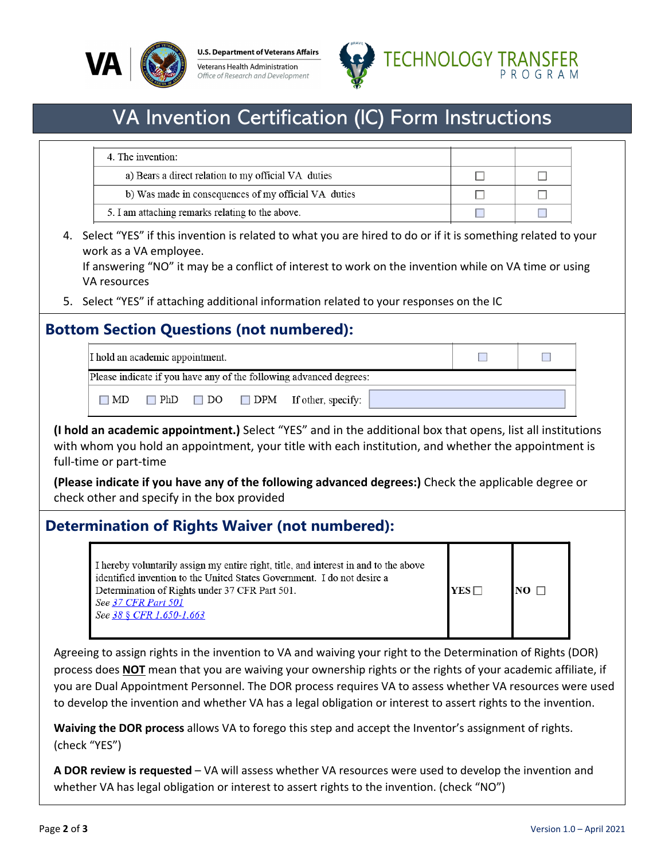

**U.S. Department of Veterans Affairs** Veterans Health Administration Office of Research and Development



## VA Invention Certification (IC) Form Instructions

| 4. The invention:                                    |  |
|------------------------------------------------------|--|
| a) Bears a direct relation to my official VA duties  |  |
| b) Was made in consequences of my official VA duties |  |
| 5. I am attaching remarks relating to the above.     |  |

4. Select "YES" if this invention is related to what you are hired to do or if it is something related to your work as a VA employee.

If answering "NO" it may be a conflict of interest to work on the invention while on VA time or using VA resources

5. Select "YES" if attaching additional information related to your responses on the IC

### **Bottom Section Questions (not numbered):**

| I hold an academic appointment.                                    |  |
|--------------------------------------------------------------------|--|
| Please indicate if you have any of the following advanced degrees: |  |
| $\Box$ PhD $\Box$ DO $\Box$ DPM If other, specify:<br>$\Box$ MD    |  |

**(I hold an academic appointment.)** Select "YES" and in the additional box that opens, list all institutions with whom you hold an appointment, your title with each institution, and whether the appointment is full-time or part-time

**(Please indicate if you have any of the following advanced degrees:)** Check the applicable degree or check other and specify in the box provided

### **Determination of Rights Waiver (not numbered):**

I hereby voluntarily assign my entire right, title, and interest in and to the above identified invention to the United States Government. I do not desire a Determination of Rights under 37 CFR Part 501.  $YES\Box$  $NO \Box$ See 37 CFR Part 501 See 38 § CFR 1.650-1.663

Agreeing to assign rights in the invention to VA and waiving your right to the Determination of Rights (DOR) process does **NOT** mean that you are waiving your ownership rights or the rights of your academic affiliate, if you are Dual Appointment Personnel. The DOR process requires VA to assess whether VA resources were used to develop the invention and whether VA has a legal obligation or interest to assert rights to the invention.

**Waiving the DOR process** allows VA to forego this step and accept the Inventor's assignment of rights. (check "YES")

**A DOR review is requested** – VA will assess whether VA resources were used to develop the invention and whether VA has legal obligation or interest to assert rights to the invention. (check "NO")